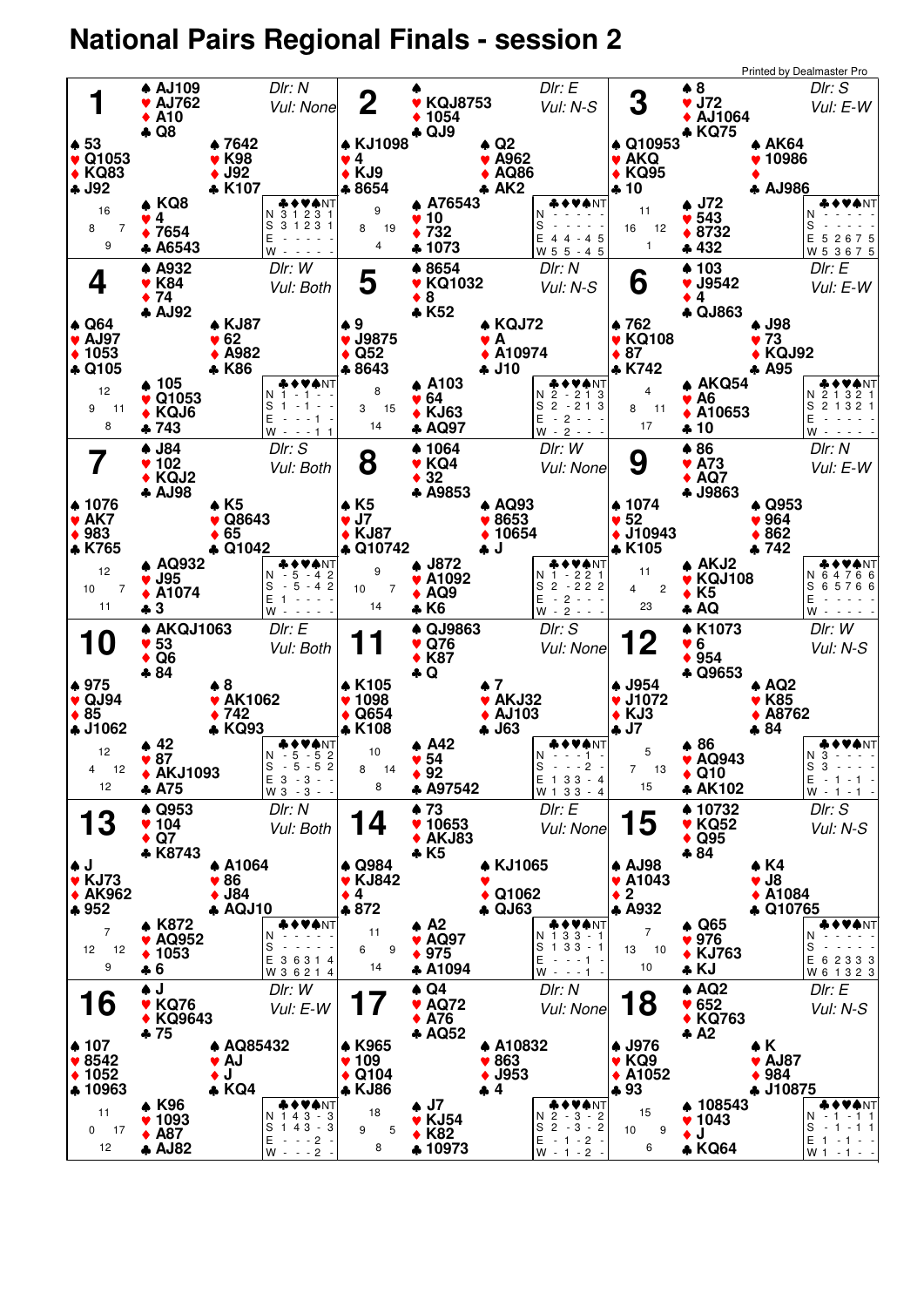## **National Pairs Regional Finals - session 2**